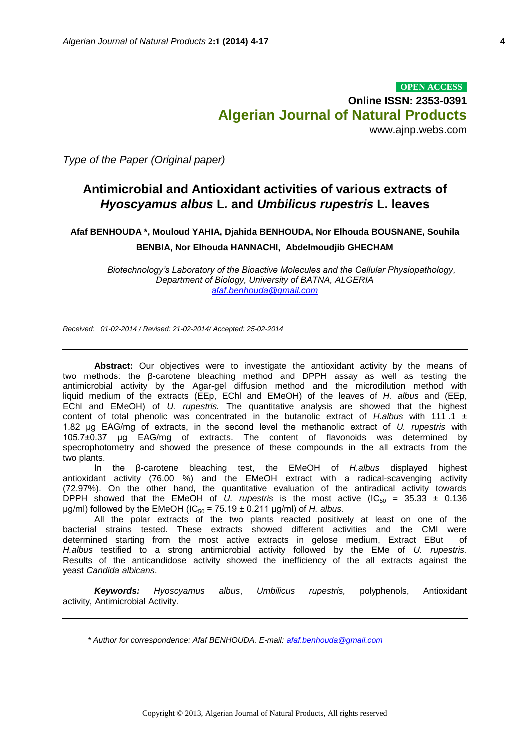*Type of the Paper (Original paper)*

# **Antimicrobial and Antioxidant activities of various extracts of**  *Hyoscyamus albus* **L***.* **and** *Umbilicus rupestris* **L. leaves**

**Afaf BENHOUDA \*, Mouloud YAHIA, Djahida BENHOUDA, Nor Elhouda BOUSNANE, Souhila BENBIA, Nor Elhouda HANNACHI, Abdelmoudjib GHECHAM**

*Biotechnology's Laboratory of the Bioactive Molecules and the Cellular Physiopathology, Department of Biology, University of BATNA, ALGERIA [afaf.benhouda@gmail.com](mailto:afaf.benhouda@gmail.com)*

*Received: 01-02-2014 / Revised: 21-02-2014/ Accepted: 25-02-2014*

**Abstract:** Our objectives were to investigate the antioxidant activity by the means of two methods: the β-carotene bleaching method and DPPH assay as well as testing the antimicrobial activity by the Agar-gel diffusion method and the microdilution method with liquid medium of the extracts (EEp, EChl and EMeOH) of the leaves of *H. albus* and (EEp, EChl and EMeOH) of *U. rupestris.* The quantitative analysis are showed that the highest content of total phenolic was concentrated in the butanolic extract of *H.albus* with 111 .1 ± 1.82 μg EAG/mg of extracts, in the second level the methanolic extract of *U. rupestris* with 105.7±0.37 μg EAG/mg of extracts. The content of flavonoids was determined by specrophotometry and showed the presence of these compounds in the all extracts from the two plants.

In the β-carotene bleaching test, the EMeOH of *H.albus* displayed highest antioxidant activity (76.00 %) and the EMeOH extract with a radical-scavenging activity (72.97%). On the other hand, the quantitative evaluation of the antiradical activity towards DPPH showed that the EMeOH of U. *rupestris* is the most active  $(IC_{50} = 35.33 \pm 0.136)$ μg/ml) followed by the EMeOH (IC<sub>50</sub> = 75.19  $\pm$  0.211 μg/ml) of *H. albus.* 

All the polar extracts of the two plants reacted positively at least on one of the bacterial strains tested. These extracts showed different activities and the CMI were determined starting from the most active extracts in gelose medium, Extract EBut of *H.albus* testified to a strong antimicrobial activity followed by the EMe of *U. rupestris.*  Results of the anticandidose activity showed the inefficiency of the all extracts against the yeast *Candida albicans*.

*Keywords: Hyoscyamus albus*, *Umbilicus rupestris,* polyphenols, Antioxidant activity, Antimicrobial Activity.

*\* Author for correspondence: Afaf BENHOUDA. E-mail: [afaf.benhouda@gmail.com](mailto:afaf.benhouda@gmail.com)*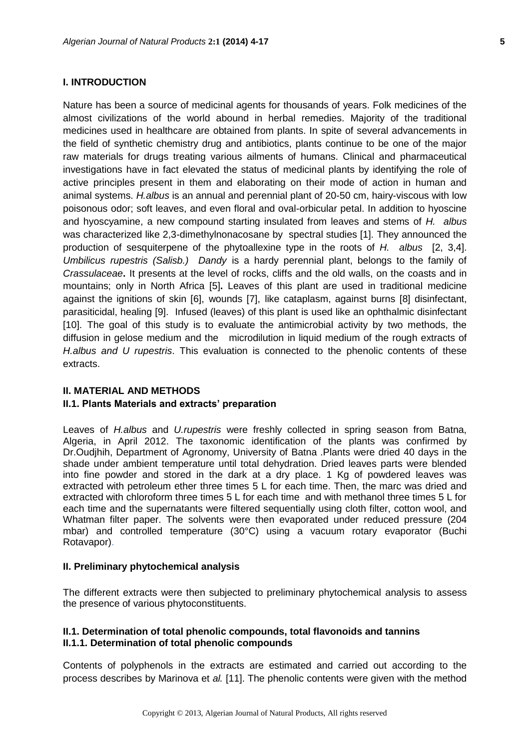#### **I. INTRODUCTION**

Nature has been a source of medicinal agents for thousands of years. Folk medicines of the almost civilizations of the world abound in herbal remedies. Majority of the traditional medicines used in healthcare are obtained from plants. In spite of several advancements in the field of synthetic chemistry drug and antibiotics, plants continue to be one of the major raw materials for drugs treating various ailments of humans. Clinical and pharmaceutical investigations have in fact elevated the status of medicinal plants by identifying the role of active principles present in them and elaborating on their mode of action in human and animal systems. *H.albus* is an annual and perennial plant of 20-50 cm, hairy-viscous with low poisonous odor; soft leaves, and even floral and oval-orbicular petal. In addition to hyoscine and hyoscyamine, a new compound starting insulated from leaves and stems of *H. albus*  was characterized like 2,3-dimethylnonacosane by spectral studies [1]. They announced the production of sesquiterpene of the phytoallexine type in the roots of *H. albus* [2, 3,4]. *Umbilicus rupestris (Salisb.) Dandy* is a hardy perennial plant, belongs to the family of *Crassulaceae***.** It presents at the level of rocks, cliffs and the old walls, on the coasts and in mountains; only in North Africa [5]**.** Leaves of this plant are used in traditional medicine against the ignitions of skin [6], wounds [7], like cataplasm, against burns [8] disinfectant, parasiticidal, healing [9].Infused (leaves) of this plant is used like an ophthalmic disinfectant [10]. The goal of this study is to evaluate the antimicrobial activity by two methods, the diffusion in gelose medium and the microdilution in liquid medium of the rough extracts of *H.albus and U rupestris*. This evaluation is connected to the phenolic contents of these extracts.

#### **II. MATERIAL AND METHODS**

#### **II.1. Plants Materials and extracts' preparation**

Leaves of *H.albus* and *U.rupestris* were freshly collected in spring season from Batna, Algeria, in April 2012. The taxonomic identification of the plants was confirmed by Dr.Oudjhih, Department of Agronomy, University of Batna .Plants were dried 40 days in the shade under ambient temperature until total dehydration. Dried leaves parts were blended into fine powder and stored in the dark at a dry place. 1 Kg of powdered leaves was extracted with petroleum ether three times 5 L for each time. Then, the marc was dried and extracted with chloroform three times 5 L for each time and with methanol three times 5 L for each time and the supernatants were filtered sequentially using cloth filter, cotton wool, and Whatman filter paper. The solvents were then evaporated under reduced pressure (204 mbar) and controlled temperature (30°C) using a vacuum rotary evaporator (Buchi Rotavapor).

#### **II. Preliminary phytochemical analysis**

The different extracts were then subjected to preliminary phytochemical analysis to assess the presence of various phytoconstituents.

#### **II.1. Determination of total phenolic compounds, total flavonoids and tannins II.1.1. Determination of total phenolic compounds**

Contents of polyphenols in the extracts are estimated and carried out according to the process describes by Marinova et *al.* [11]. The phenolic contents were given with the method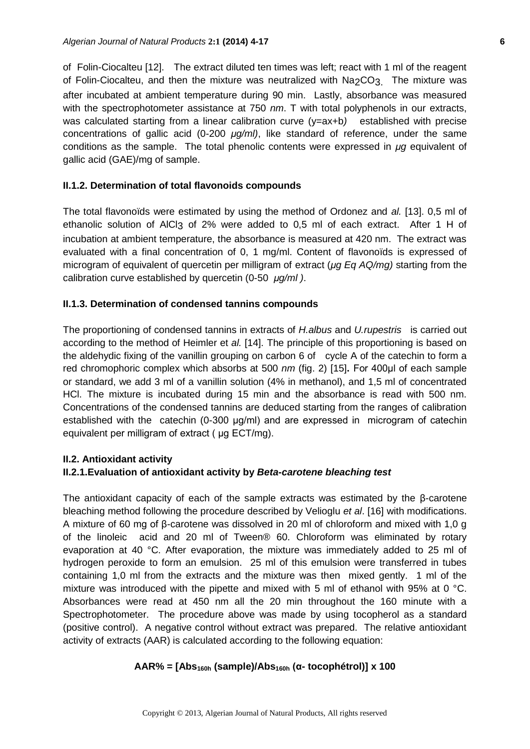of Folin-Ciocalteu [12].The extract diluted ten times was left; react with 1 ml of the reagent of Folin-Ciocalteu, and then the mixture was neutralized with Na2CO3. The mixture was after incubated at ambient temperature during 90 min. Lastly, absorbance was measured with the spectrophotometer assistance at 750 *nm*. T with total polyphenols in our extracts, was calculated starting from a linear calibration curve (y=ax+b*)* established with precise concentrations of gallic acid (0-200 *μg/ml)*, like standard of reference, under the same conditions as the sample. The total phenolic contents were expressed in *μg* equivalent of gallic acid (GAE)/mg of sample.

#### **II.1.2. Determination of total flavonoids compounds**

The total flavonoïds were estimated by using the method of Ordonez and *al.* [13]. 0,5 ml of ethanolic solution of AlCl<sub>3</sub> of 2% were added to 0,5 ml of each extract. After 1 H of incubation at ambient temperature, the absorbance is measured at 420 nm. The extract was evaluated with a final concentration of 0, 1 mg/ml. Content of flavonoïds is expressed of microgram of equivalent of quercetin per milligram of extract (*μg Eq AQ/mg)* starting from the calibration curve established by quercetin (0-50 *μg/ml )*.

#### **II.1.3. Determination of condensed tannins compounds**

The proportioning of condensed tannins in extracts of *H.albus* and *U.rupestris* is carried out according to the method of Heimler et *al.* [14]. The principle of this proportioning is based on the aldehydic fixing of the vanillin grouping on carbon 6 of cycle A of the catechin to form a red chromophoric complex which absorbs at 500 *nm* (fig. 2) [15]**.** For 400μl of each sample or standard, we add 3 ml of a vanillin solution (4% in methanol), and 1,5 ml of concentrated HCl. The mixture is incubated during 15 min and the absorbance is read with 500 nm. Concentrations of the condensed tannins are deduced starting from the ranges of calibration established with the catechin (0-300 μg/ml) and are expressed in microgram of catechin equivalent per milligram of extract ( μg ECT/mg).

# **II.2. Antioxidant activity**

# **II.2.1.Evaluation of antioxidant activity by** *Beta-carotene bleaching test*

The antioxidant capacity of each of the sample extracts was estimated by the  $\beta$ -carotene bleaching method following the procedure described by Velioglu *et al*. [16] with modifications. A mixture of 60 mg of β-carotene was dissolved in 20 ml of chloroform and mixed with 1,0 g of the linoleic acid and 20 ml of Tween® 60. Chloroform was eliminated by rotary evaporation at 40 °C. After evaporation, the mixture was immediately added to 25 ml of hydrogen peroxide to form an emulsion. 25 ml of this emulsion were transferred in tubes containing 1,0 ml from the extracts and the mixture was then mixed gently. 1 ml of the mixture was introduced with the pipette and mixed with 5 ml of ethanol with 95% at 0  $^{\circ}$ C. Absorbances were read at 450 nm all the 20 min throughout the 160 minute with a Spectrophotometer. The procedure above was made by using tocopherol as a standard (positive control). A negative control without extract was prepared. The relative antioxidant activity of extracts (AAR) is calculated according to the following equation:

# **AAR% = [Abs160h (sample)/Abs160h (α- tocophétrol)] x 100**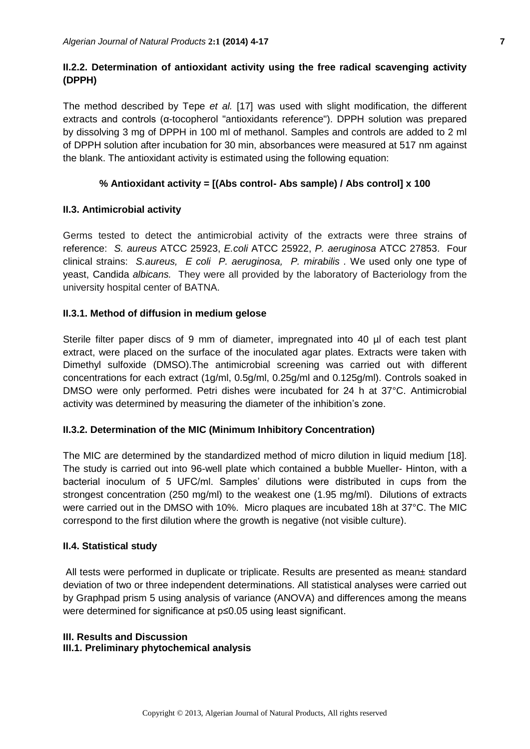# **II.2.2. Determination of antioxidant activity using the free radical scavenging activity (DPPH)**

The method described by Tepe *et al.* [17] was used with slight modification, the different extracts and controls (α-tocopherol "antioxidants reference"). DPPH solution was prepared by dissolving 3 mg of DPPH in 100 ml of methanol. Samples and controls are added to 2 ml of DPPH solution after incubation for 30 min, absorbances were measured at 517 nm against the blank. The antioxidant activity is estimated using the following equation:

# **% Antioxidant activity = [(Abs control- Abs sample) / Abs control] x 100**

# **II.3. Antimicrobial activity**

Germs tested to detect the antimicrobial activity of the extracts were three strains of reference: *S. aureus* ATCC 25923, *E.coli* ATCC 25922, *P. aeruginosa* ATCC 27853. Four clinical strains: *S.aureus, E coli P. aeruginosa, P. mirabilis .* We used only one type of yeast, Candida *albicans.* They were all provided by the laboratory of Bacteriology from the university hospital center of BATNA.

# **II.3.1. Method of diffusion in medium gelose**

Sterile filter paper discs of 9 mm of diameter, impregnated into 40 µl of each test plant extract, were placed on the surface of the inoculated agar plates. Extracts were taken with Dimethyl sulfoxide (DMSO).The antimicrobial screening was carried out with different concentrations for each extract (1g/ml, 0.5g/ml, 0.25g/ml and 0.125g/ml). Controls soaked in DMSO were only performed. Petri dishes were incubated for 24 h at 37°C. Antimicrobial activity was determined by measuring the diameter of the inhibition's zone.

# **II.3.2. Determination of the MIC (Minimum Inhibitory Concentration)**

The MIC are determined by the standardized method of micro dilution in liquid medium [18]. The study is carried out into 96-well plate which contained a bubble Mueller- Hinton, with a bacterial inoculum of 5 UFC/ml. Samples' dilutions were distributed in cups from the strongest concentration (250 mg/ml) to the weakest one (1.95 mg/ml). Dilutions of extracts were carried out in the DMSO with 10%. Micro plaques are incubated 18h at 37°C. The MIC correspond to the first dilution where the growth is negative (not visible culture).

# **II.4. Statistical study**

All tests were performed in duplicate or triplicate. Results are presented as mean± standard deviation of two or three independent determinations. All statistical analyses were carried out by Graphpad prism 5 using analysis of variance (ANOVA) and differences among the means were determined for significance at p≤0.05 using least significant.

# **III. Results and Discussion**

# **III.1. Preliminary phytochemical analysis**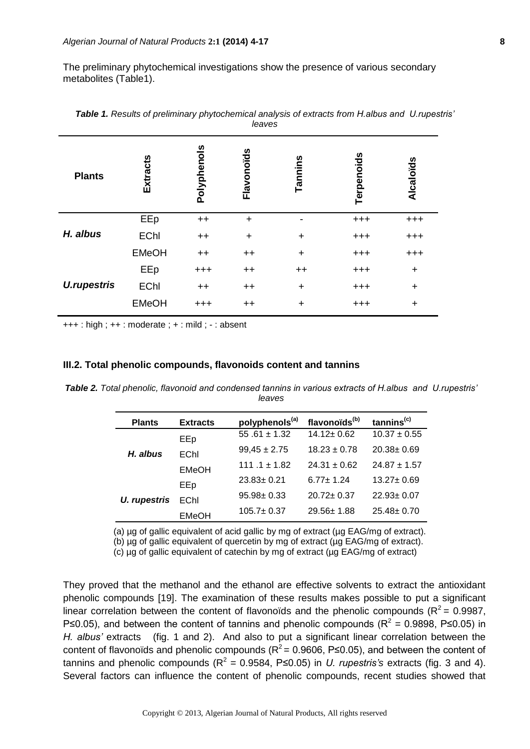The preliminary phytochemical investigations show the presence of various secondary metabolites (Table1).

| <b>Plants</b>      | Extracts     | Polyphenols | Flavonoïds      | Tannins   | Terpenoids | Alcaloïds |
|--------------------|--------------|-------------|-----------------|-----------|------------|-----------|
| H. albus           | EEp          | $++$        | $\ddot{}$       |           | $^{+++}$   | $^{+++}$  |
|                    | <b>EChl</b>  | $++$        | $\ddot{}$       | $\ddot{}$ | $^{+++}$   | $^{+++}$  |
|                    | <b>EMeOH</b> | $++$        | $++$            | $\ddot{}$ | $^{+++}$   | $^{+++}$  |
| <b>U.rupestris</b> | EEp          | $^{+++}$    | $++$            | $++$      | $^{+++}$   | $\ddot{}$ |
|                    | <b>EChl</b>  | $++$        | $++$            | $\ddot{}$ | $^{+++}$   | $\ddot{}$ |
|                    | <b>EMeOH</b> | $^{+++}$    | $^{\mathrm{+}}$ | $\ddot{}$ | $^{+++}$   | $\ddot{}$ |

*Table 1. Results of preliminary phytochemical analysis of extracts from H.albus and U.rupestris' leaves*

 $+++$ : high;  $++$ : moderate;  $+$ : mild; -: absent

#### **III.2. Total phenolic compounds, flavonoids content and tannins**

*Table 2. Total phenolic, flavonoid and condensed tannins in various extracts of H.albus and U.rupestris' leaves*

| <b>Plants</b>       | <b>Extracts</b> | polyphenols <sup>(a)</sup> | flavonoïds <sup>(b)</sup> | tannins <sup>(c)</sup> |
|---------------------|-----------------|----------------------------|---------------------------|------------------------|
| H. albus            | EEp             | 55 .61 $\pm$ 1.32          | $14.12 \pm 0.62$          | $10.37 \pm 0.55$       |
|                     | EChl            | $99,45 \pm 2.75$           | $18.23 + 0.78$            | $20.38 \pm 0.69$       |
|                     | <b>EMeOH</b>    | 111 .1 $\pm$ 1.82          | $24.31 + 0.62$            | $24.87 + 1.57$         |
|                     | EEp             | $23.83 \pm 0.21$           | $6.77 + 1.24$             | $13.27 \pm 0.69$       |
| <b>U.</b> rupestris | EChl            | $95.98 \pm 0.33$           | $20.72 \pm 0.37$          | $22.93 \pm 0.07$       |
|                     | <b>EMeOH</b>    | $105.7 \pm 0.37$           | $29.56 \pm 1.88$          | $25.48 \pm 0.70$       |

(a) ug of gallic equivalent of acid gallic by mg of extract (ug EAG/mg of extract).

(b) µg of gallic equivalent of quercetin by mg of extract (µg EAG/mg of extract).

(c) µg of gallic equivalent of catechin by mg of extract (µg EAG/mg of extract)

They proved that the methanol and the ethanol are effective solvents to extract the antioxidant phenolic compounds [19]. The examination of these results makes possible to put a significant linear correlation between the content of flavonoïds and the phenolic compounds ( $R^2$  = 0.9987, P≤0.05), and between the content of tannins and phenolic compounds ( $R^2 = 0.9898$ , P≤0.05) in *H. albus'* extracts (fig. 1 and 2). And also to put a significant linear correlation between the content of flavonoïds and phenolic compounds ( $R^2$  = 0.9606, P≤0.05), and between the content of tannins and phenolic compounds ( $R^2$  = 0.9584, P≤0.05) in *U. rupestris's* extracts (fig. 3 and 4). Several factors can influence the content of phenolic compounds, recent studies showed that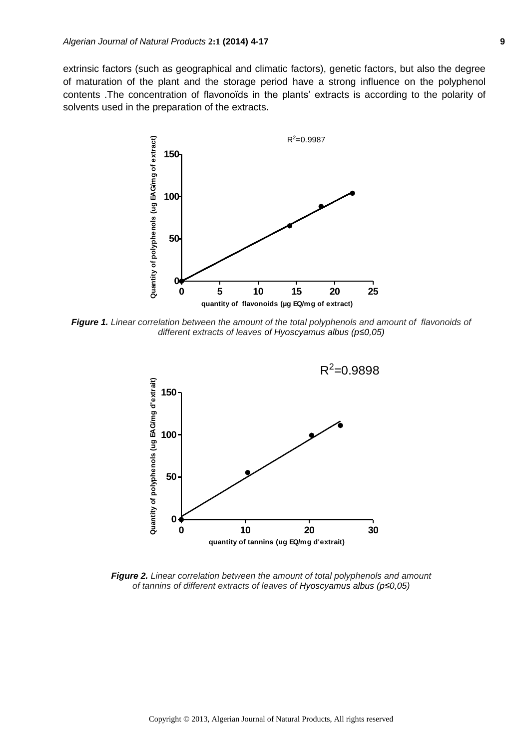extrinsic factors (such as geographical and climatic factors), genetic factors, but also the degree of maturation of the plant and the storage period have a strong influence on the polyphenol contents .The concentration of flavonoïds in the plants' extracts is according to the polarity of solvents used in the preparation of the extracts**.**



*Figure 1. Linear correlation between the amount of the total polyphenols and amount of flavonoids of different extracts of leaves of Hyoscyamus albus (p≤0,05)*



*Figure 2. Linear correlation between the amount of total polyphenols and amount of tannins of different extracts of leaves of Hyoscyamus albus (p≤0,05)*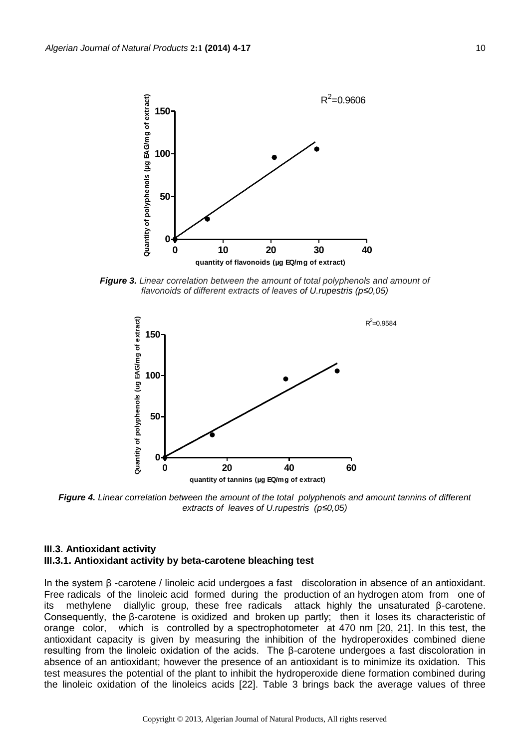

*Figure 3. Linear correlation between the amount of total polyphenols and amount of flavonoids of different extracts of leaves of U.rupestris (p≤0,05)*



*Figure 4. Linear correlation between the amount of the total polyphenols and amount tannins of different extracts of leaves of U.rupestris (p≤0,05)*

#### **III.3. Antioxidant activity III.3.1. Antioxidant activity by beta-carotene bleaching test**

In the system β -carotene / linoleic acid undergoes a fast discoloration in absence of an antioxidant. Free radicals of the linoleic acid formed during the production of an hydrogen atom from one of its methylene diallylic group, these free radicals attack highly the unsaturated β-carotene. Consequently, the β-carotene is oxidized and broken up partly; then it loses its characteristic of orange color, which is controlled by a spectrophotometer at 470 nm [20, 21]. In this test, the antioxidant capacity is given by measuring the inhibition of the hydroperoxides combined diene resulting from the linoleic oxidation of the acids. The β-carotene undergoes a fast discoloration in absence of an antioxidant; however the presence of an antioxidant is to minimize its oxidation. This test measures the potential of the plant to inhibit the hydroperoxide diene formation combined during the linoleic oxidation of the linoleics acids [22]. Table 3 brings back the average values of three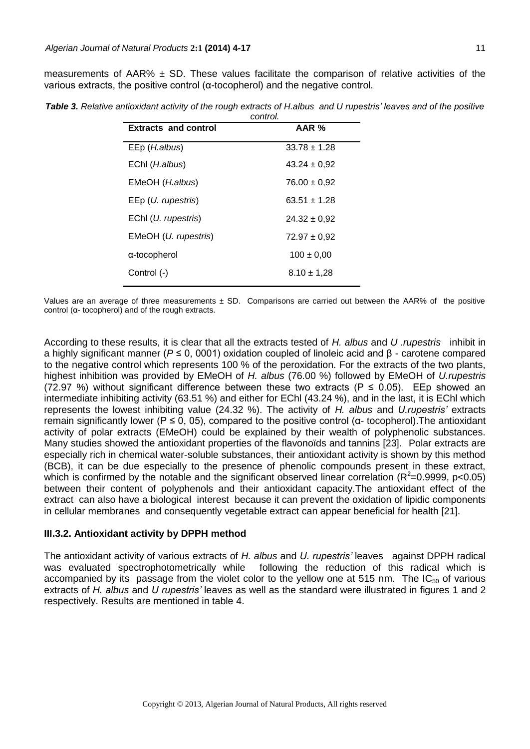measurements of AAR%  $\pm$  SD. These values facilitate the comparison of relative activities of the various extracts, the positive control (α-tocopherol) and the negative control.

| Table 3. Relative antioxidant activity of the rough extracts of H.albus and U rupestris' leaves and of the positive |          |  |
|---------------------------------------------------------------------------------------------------------------------|----------|--|
|                                                                                                                     | control. |  |

| <b>Extracts and control</b>     | AAR %            |
|---------------------------------|------------------|
| EEp ( <i>H.albus</i> )          | $33.78 \pm 1.28$ |
| EChl (H.albus)                  | $43.24 \pm 0.92$ |
| EMeOH (H.albus)                 | $76.00 \pm 0.92$ |
| $E E p$ ( <i>U. rupestris</i> ) | $63.51 \pm 1.28$ |
| EChl ( <i>U. rupestris</i> )    | $24.32 \pm 0.92$ |
| EMeOH (U. rupestris)            | $72.97 \pm 0.92$ |
| a-tocopherol                    | $100 \pm 0.00$   |
| Control (-)                     | $8.10 \pm 1.28$  |

Values are an average of three measurements  $\pm$  SD. Comparisons are carried out between the AAR% of the positive control (α- tocopherol) and of the rough extracts.

According to these results, it is clear that all the extracts tested of *H. albus* and *U .rupestris* inhibit in a highly significant manner (*P* ≤ 0, 0001) oxidation coupled of linoleic acid and β - carotene compared to the negative control which represents 100 % of the peroxidation. For the extracts of the two plants, highest inhibition was provided by EMeOH of *H. albus* (76.00 %) followed by EMeOH of *U.rupestris*  (72.97 %) without significant difference between these two extracts ( $P \le 0.05$ ). EEp showed an intermediate inhibiting activity (63.51 %) and either for EChl (43.24 %), and in the last, it is EChl which represents the lowest inhibiting value (24.32 %). The activity of *H. albus* and *U.rupestris'* extracts remain significantly lower ( $P \le 0$ , 05), compared to the positive control (α- tocopherol). The antioxidant activity of polar extracts (EMeOH) could be explained by their wealth of polyphenolic substances. Many studies showed the antioxidant properties of the flavonoïds and tannins [23].Polar extracts are especially rich in chemical water-soluble substances, their antioxidant activity is shown by this method (BCB), it can be due especially to the presence of phenolic compounds present in these extract, which is confirmed by the notable and the significant observed linear correlation ( $R^2$ =0.9999, p<0.05) between their content of polyphenols and their antioxidant capacity.The antioxidant effect of the extract can also have a biological interest because it can prevent the oxidation of lipidic components in cellular membranes and consequently vegetable extract can appear beneficial for health [21].

#### **III.3.2. Antioxidant activity by DPPH method**

The antioxidant activity of various extracts of *H. albus* and *U. rupestris'* leaves against DPPH radical was evaluated spectrophotometrically while following the reduction of this radical which is accompanied by its passage from the violet color to the yellow one at 515 nm. The  $IC_{50}$  of various extracts of *H. albus* and *U rupestris'* leaves as well as the standard were illustrated in figures 1 and 2 respectively. Results are mentioned in table 4.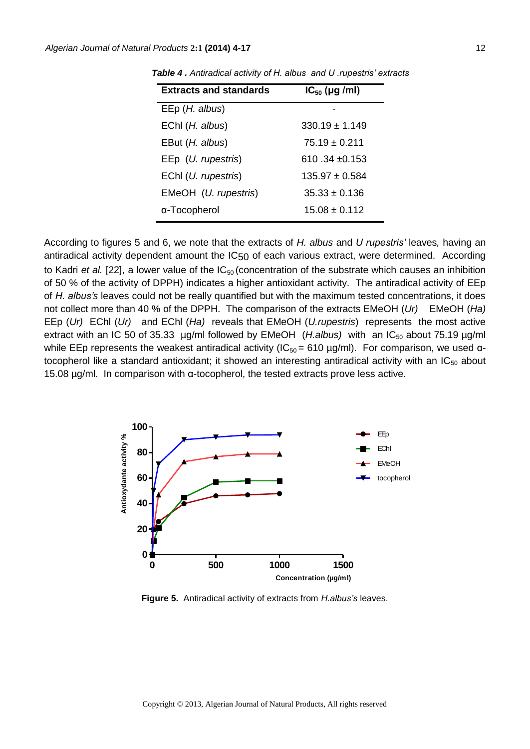| <b>Extracts and standards</b> | $IC_{50}$ (µg /ml) |
|-------------------------------|--------------------|
| EEp (H. albus)                |                    |
| EChl (H. albus)               | $330.19 \pm 1.149$ |
| EBut ( <i>H. albus</i> )      | $75.19 \pm 0.211$  |
| EEp ( <i>U. rupestris</i> )   | $610.34 + 0.153$   |
| EChl ( <i>U. rupestris</i> )  | $135.97 \pm 0.584$ |
| EMeOH (U. rupestris)          | $35.33 \pm 0.136$  |
| α-Tocopherol                  | $15.08 \pm 0.112$  |

*Table 4 . Antiradical activity of H. albus and U .rupestris' extracts* 

According to figures 5 and 6, we note that the extracts of *H. albus* and *U rupestris'* leaves*,* having an antiradical activity dependent amount the IC<sub>50</sub> of each various extract, were determined. According to Kadri *et al.* [22], a lower value of the IC<sub>50</sub> (concentration of the substrate which causes an inhibition of 50 % of the activity of DPPH) indicates a higher antioxidant activity. The antiradical activity of EEp of *H. albus's* leaves could not be really quantified but with the maximum tested concentrations, it does not collect more than 40 % of the DPPH. The comparison of the extracts EMeOH (*Ur)* EMeOH (*Ha)* EEp (*Ur)* EChl (*Ur)* and EChl (*Ha)* reveals that EMeOH (*U.rupestris*) represents the most active extract with an IC 50 of 35.33 µg/ml followed by EMeOH (H.albus) with an IC<sub>50</sub> about 75.19 µg/ml while EEp represents the weakest antiradical activity ( $IC_{50} = 610 \mu g/ml$ ). For comparison, we used  $\alpha$ tocopherol like a standard antioxidant; it showed an interesting antiradical activity with an IC $_{50}$  about 15.08 µg/ml. In comparison with α-tocopherol, the tested extracts prove less active.



**Figure 5.** Antiradical activity of extracts from *H.albus's* leaves.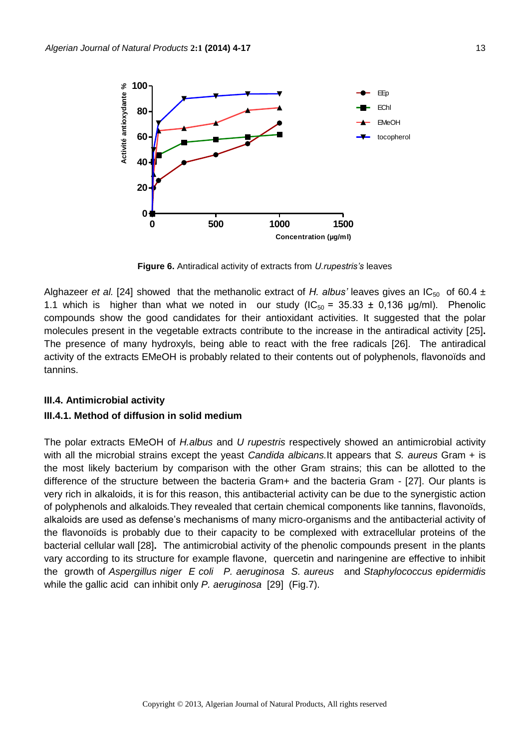

**Figure 6.** Antiradical activity of extracts from *U.rupestris's* leaves

Alghazeer *et al.* [24] showed that the methanolic extract of *H. albus'* leaves gives an IC<sub>50</sub> of 60.4  $\pm$ 1.1 which is higher than what we noted in our study  $(IC_{50} = 35.33 \pm 0.136 \mu g/ml)$ . Phenolic compounds show the good candidates for their antioxidant activities. It suggested that the polar molecules present in the vegetable extracts contribute to the increase in the antiradical activity [25]**.**  The presence of many hydroxyls, being able to react with the free radicals [26]. The antiradical activity of the extracts EMeOH is probably related to their contents out of polyphenols, flavonoïds and tannins.

#### **III.4. Antimicrobial activity**

#### **III.4.1. Method of diffusion in solid medium**

The polar extracts EMeOH of *H.albus* and *U rupestris* respectively showed an antimicrobial activity with all the microbial strains except the yeast *Candida albicans.*It appears that *S. aureus* Gram + is the most likely bacterium by comparison with the other Gram strains; this can be allotted to the difference of the structure between the bacteria Gram+ and the bacteria Gram - [27]. Our plants is very rich in alkaloids, it is for this reason, this antibacterial activity can be due to the synergistic action of polyphenols and alkaloids*.*They revealed that certain chemical components like tannins, flavonoïds, alkaloids are used as defense's mechanisms of many micro-organisms and the antibacterial activity of the flavonoïds is probably due to their capacity to be complexed with extracellular proteins of the bacterial cellular wall [28]**.** The antimicrobial activity of the phenolic compounds present in the plants vary according to its structure for example flavone, quercetin and naringenine are effective to inhibit the growth of *Aspergillus niger E coli P. aeruginosa S. aureus* and *Staphylococcus epidermidis*  while the gallic acid can inhibit only *P. aeruginosa* [29] (Fig.7).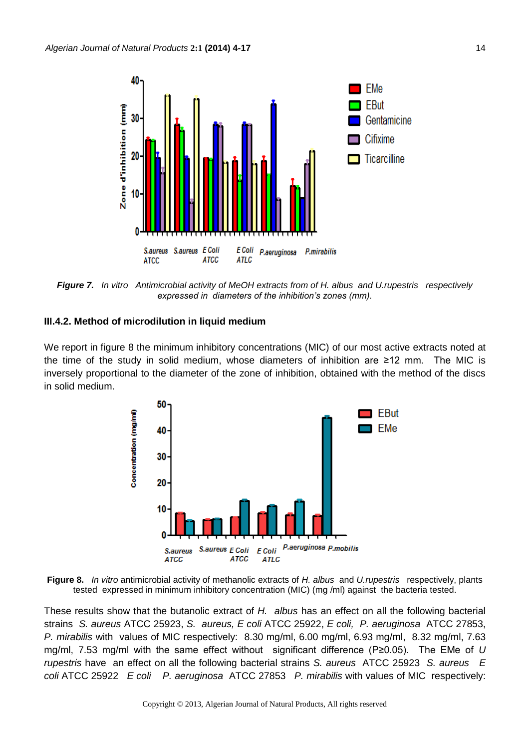

*Figure 7. In vitro Antimicrobial activity of MeOH extracts from of H. albus and U.rupestris respectively expressed in diameters of the inhibition's zones (mm).*

# **III.4.2. Method of microdilution in liquid medium**

We report in figure 8 the minimum inhibitory concentrations (MIC) of our most active extracts noted at the time of the study in solid medium, whose diameters of inhibition are ≥12 mm. The MIC is inversely proportional to the diameter of the zone of inhibition, obtained with the method of the discs in solid medium.



**Figure 8.** *In vitro* antimicrobial activity of methanolic extracts of *H. albus* and *U.rupestris* respectively, plants tested expressed in minimum inhibitory concentration (MIC) (mg /ml) against the bacteria tested.

These results show that the butanolic extract of *H. albus* has an effect on all the following bacterial strains *S. aureus* ATCC 25923, *S. aureus, E coli* ATCC 25922, *E coli, P. aeruginosa* ATCC 27853, *P. mirabilis* with values of MIC respectively: 8.30 mg/ml, 6.00 mg/ml, 6.93 mg/ml, 8.32 mg/ml, 7.63 mg/ml, 7.53 mg/ml with the same effect without significant difference (P≥0.05). The EMe of *U rupestris* have an effect on all the following bacterial strains *S. aureus* ATCC 25923 *S. aureus E coli* ATCC 25922 *E coli P. aeruginosa* ATCC 27853 *P. mirabilis* with values of MIC respectively: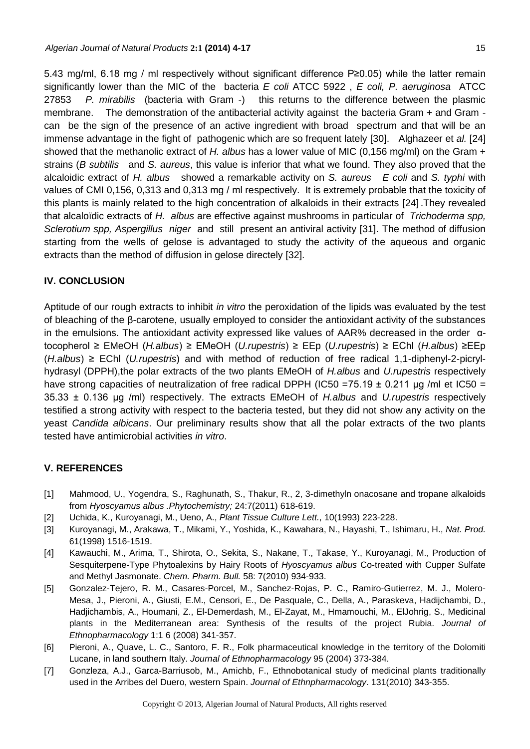5.43 mg/ml, 6.18 mg / ml respectively without significant difference P≥0.05) while the latter remain significantly lower than the MIC of the bacteria *E coli* ATCC 5922 , *E coli, P. aeruginosa* ATCC 27853 *P. mirabilis* (bacteria with Gram -) this returns to the difference between the plasmic membrane. The demonstration of the antibacterial activity against the bacteria Gram + and Gram can be the sign of the presence of an active ingredient with broad spectrum and that will be an immense advantage in the fight of pathogenic which are so frequent lately [30].Alghazeer et *al.* [24] showed that the methanolic extract of *H. albus* has a lower value of MIC (0,156 mg/ml) on the Gram + strains (*B subtilis* and *S. aureus*, this value is inferior that what we found. They also proved that the alcaloidic extract of *H. albus* showed a remarkable activity on *S. aureus E coli* and *S. typhi* with values of CMI 0,156, 0,313 and 0,313 mg / ml respectively. It is extremely probable that the toxicity of this plants is mainly related to the high concentration of alkaloids in their extracts [24] .They revealed that alcaloïdic extracts of *H. albus* are effective against mushrooms in particular of *Trichoderma spp, Sclerotium spp, Aspergillus niger* and still present an antiviral activity [31]. The method of diffusion starting from the wells of gelose is advantaged to study the activity of the aqueous and organic extracts than the method of diffusion in gelose directely [32].

# **IV. CONCLUSION**

Aptitude of our rough extracts to inhibit *in vitro* the peroxidation of the lipids was evaluated by the test of bleaching of the β-carotene, usually employed to consider the antioxidant activity of the substances in the emulsions. The antioxidant activity expressed like values of AAR% decreased in the order αtocopherol ≥ EMeOH (*H.albus*) ≥ EMeOH (*U.rupestris*) ≥ EEp (*U.rupestris*) ≥ EChl (*H.albus*) ≥EEp (*H.albus*) ≥ EChl (*U.rupestris*) and with method of reduction of free radical 1,1-diphenyl-2-picrylhydrasyl (DPPH),the polar extracts of the two plants EMeOH of *H.albus* and *U.rupestris* respectively have strong capacities of neutralization of free radical DPPH (IC50 =  $75.19 \pm 0.211$  µg /ml et IC50 = 35.33 ± 0.136 μg /ml) respectively. The extracts EMeOH of *H.albus* and *U.rupestris* respectively testified a strong activity with respect to the bacteria tested, but they did not show any activity on the yeast *Candida albicans*. Our preliminary results show that all the polar extracts of the two plants tested have antimicrobial activities *in vitro*.

# **V. REFERENCES**

- [1] Mahmood, U., Yogendra, S., Raghunath, S., Thakur, R., 2, 3-dimethyln onacosane and tropane alkaloids from *Hyoscyamus albus .Phytochemistry;* 24:7(2011) 618-619.
- [2] Uchida, K., Kuroyanagi, M., Ueno, A., *Plant Tissue Culture Lett.*, 10(1993) 223-228.
- [3] Kuroyanagi, M., Arakawa, T., Mikami, Y., Yoshida, K., Kawahara, N., Hayashi, T., Ishimaru, H., *Nat. Prod.* 61(1998) 1516-1519.
- [4] Kawauchi, M., Arima, T., Shirota, O., Sekita, S., Nakane, T., Takase, Y., Kuroyanagi, M., Production of Sesquiterpene-Type Phytoalexins by Hairy Roots of *Hyoscyamus albus* Co-treated with Cupper Sulfate and Methyl Jasmonate. *Chem. Pharm. Bull.* 58: 7(2010) 934-933.
- [5] Gonzalez-Tejero, R. M., Casares-Porcel, M., Sanchez-Rojas, P. C., Ramiro-Gutierrez, M. J., Molero-Mesa, J., Pieroni, A., Giusti, E.M., Censori, E., De Pasquale, C., Della, A., Paraskeva, Hadijchambi, D., Hadjichambis, A., Houmani, Z., El-Demerdash, M., El-Zayat, M., Hmamouchi, M., ElJohrig, S., Medicinal plants in the Mediterranean area: Synthesis of the results of the project Rubia. *Journal of Ethnopharmacology* 1:1 6 (2008) 341-357.
- [6] Pieroni, A., Quave, L. C., Santoro, F. R., Folk pharmaceutical knowledge in the territory of the Dolomiti Lucane, in land southern Italy. *Journal of Ethnopharmacology* 95 (2004) 373-384.
- [7] Gonzleza, A.J., Garca-Barriusob, M., Amichb, F., Ethnobotanical study of medicinal plants traditionally used in the Arribes del Duero, western Spain. *Journal of Ethnpharmacology*. 131(2010) 343-355.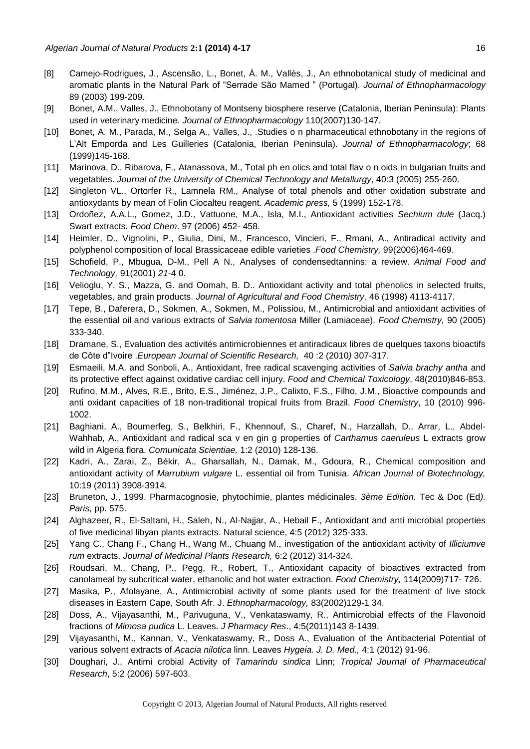- [8] Camejo-Rodrigues, J., Ascensão, L., Bonet, À. M., Vallès, J., An ethnobotanical study of medicinal and aromatic plants in the Natural Park of "Serrade São Mamed " (Portugal). *Journal of Ethnopharmacology* 89 (2003) 199-209.
- [9] Bonet, A.M., Valles, J., Ethnobotany of Montseny biosphere reserve (Catalonia, Iberian Peninsula): Plants used in veterinary medicine. *Journal of Ethnopharmacology* 110(2007)130-147.
- [10] Bonet, A. M., Parada, M., Selga A., Valles, J., .Studies o n pharmaceutical ethnobotany in the regions of L'Alt Emporda and Les Guilleries (Catalonia, Iberian Peninsula). *Journal of Ethnopharmacology*; 68 (1999)145-168.
- [11] Marinova, D., Ribarova, F., Atanassova, M., Total ph en olics and total flav o n oids in bulgarian fruits and vegetables. *Journal of the University of Chemical Technology and Metallurgy*, 40:3 (2005) 255-260.
- [12] Singleton VL., Ortorfer R., Lamnela RM., Analyse of total phenols and other oxidation substrate and antioxydants by mean of Folin Ciocalteu reagent. *Academic press,* 5 (1999) 152-178.
- [13] Ordoñez, A.A.L., Gomez, J.D., Vattuone, M.A., Isla, M.I., Antioxidant activities *Sechium dule* (Jacq.) Swart extracts*. Food Chem*. 97 (2006) 452- 458.
- [14] Heimler, D., Vignolini, P., Giulia, Dini, M., Francesco, Vincieri, F., Rmani, A., Antiradical activity and polyphenol composition of local Brassicaceae edible varieties .*Food Chemistry,* 99(2006)464-469.
- [15] Schofield, P., Mbugua, D-M., Pell A N., Analyses of condensedtannins: a review. *Animal Food and Technology,* 91(2001) *21*-4 0.
- [16] Velioglu, Y. S., Mazza, G. and Oomah, B. D.. Antioxidant activity and total phenolics in selected fruits, vegetables, and grain products. *Journal of Agricultural and Food Chemistry,* 46 (1998) 4113-4117.
- [17] Tepe, B., Daferera, D., Sokmen, A., Sokmen, M., Polissiou, M., Antimicrobial and antioxidant activities of the essential oil and various extracts of *Salvia tomentosa* Miller (Lamiaceae). *Food Chemistry,* 90 (2005) 333-340.
- [18] Dramane, S., Evaluation des activités antimicrobiennes et antiradicaux libres de quelques taxons bioactifs de Côte d"Ivoire .*European Journal of Scientific Research,* 40 :2 (2010*)* 307-317.
- [19] Esmaeili, M.A. and Sonboli, A., Antioxidant, free radical scavenging activities of *Salvia brachy antha* and its protective effect against oxidative cardiac cell injury. *Food and Chemical Toxicology*, 48(2010)846-853.
- [20] Rufino, M.M., Alves, R.E., Brito, E.S., Jiménez, J.P., Calixto, F.S., Filho, J.M., Bioactive compounds and anti oxidant capacities of 18 non-traditional tropical fruits from Brazil. *Food Chemistry*, 10 (2010) 996- 1002.
- [21] Baghiani, A., Boumerfeg, S., Belkhiri, F., Khennouf, S., Charef, N., Harzallah, D., Arrar, L., Abdel-Wahhab, A., Antioxidant and radical sca v en gin g properties of *Carthamus caeruleus* L extracts grow wild in Algeria flora. *Comunicata Scientiae,* 1:2 (2010) 128-136.
- [22] Kadri, A., Zarai, Z., Békir, A., Gharsallah, N., Damak, M., Gdoura, R., Chemical composition and antioxidant activity of *Marrubium vulgare* L. essential oil from Tunisia. *African Journal of Biotechnology,*  10:19 (2011) 3908-3914.
- [23] Bruneton, J., 1999. Pharmacognosie, phytochimie, plantes médicinales. *3ème Edition.* Tec & Doc (Ed*). Paris*, pp. 575.
- [24] Alghazeer, R., El-Saltani, H., Saleh, N., Al-Najjar, A., Hebail F., Antioxidant and anti microbial properties of five medicinal libyan plants extracts. Natural science, 4:5 (2012) 325-333.
- [25] Yang C., Chang F., Chang H., Wang M., Chuang M., investigation of the antioxidant activity of *Illiciumve rum* extracts. *Journal of Medicinal Plants Research,* 6:2 (2012) 314-324.
- [26] Roudsari, M., Chang, P., Pegg, R., Robert, T., Antioxidant capacity of bioactives extracted from canolameal by subcritical water, ethanolic and hot water extraction. *Food Chemistry,* 114(2009)717- 726.
- [27] Masika, P., Afolayane, A., Antimicrobial activity of some plants used for the treatment of live stock diseases in Eastern Cape, South Afr. J. *Ethnopharmacology,* 83(2002)129-1 34.
- [28] Doss, A., Vijayasanthi, M., Parivuguna, V., Venkataswamy, R., Antimicrobial effects of the Flavonoid fractions of *Mimosa pudica* L. Leaves. *J Pharmacy Res*., 4:5(2011)143 8-1439.
- [29] Vijayasanthi, M., Kannan, V., Venkataswamy, R., Doss A., Evaluation of the Antibacterial Potential of various solvent extracts of *Acacia nilotica* linn. Leaves *Hygeia. J. D. Med.,* 4:1 (2012) 91-96.
- [30] Doughari, J., Antimi crobial Activity of *Tamarindu sindica* Linn; *Tropical Journal of Pharmaceutical Research*, 5:2 (2006) 597-603.